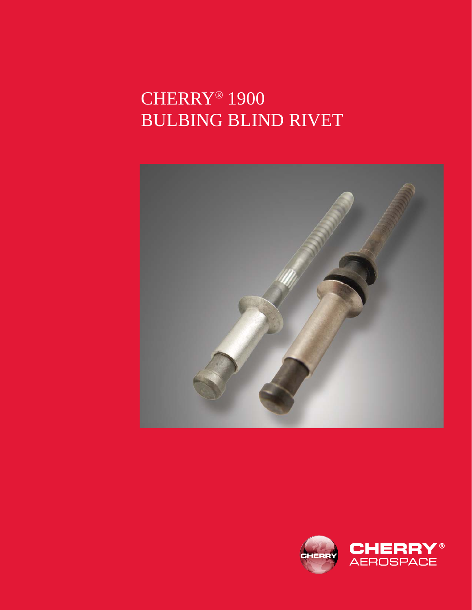# CHERRY® 1900 BULBING BLIND RIVET



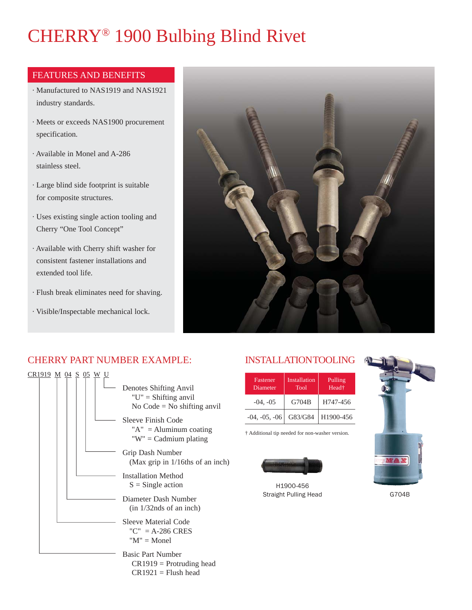# CHERRY® 1900 Bulbing Blind Rivet

#### FEATURES AND BENEFITS

- · Manufactured to NAS1919 and NAS1921 industry standards.
- · Meets or exceeds NAS1900 procurement specification.
- · Available in Monel and A-286 stainless steel.
- · Large blind side footprint is suitable for composite structures.
- · Uses existing single action tooling and Cherry "One Tool Concept"
- · Available with Cherry shift washer for consistent fastener installations and extended tool life.
- · Flush break eliminates need for shaving.
- · Visible/Inspectable mechanical lock.



#### CHERRY PART NUMBER EXAMPLE:

| <u>CR1919 M 04 S</u><br>05 | Denotes Shifting Anvil<br>" $U$ " = Shifting anvil"<br>No Code = No shifting anvil              |
|----------------------------|-------------------------------------------------------------------------------------------------|
|                            | Sleeve Finish Code<br>" $A$ " = Aluminum coating<br>"W" = Cadmium plating                       |
|                            | Grip Dash Number<br>(Max grip in $1/16$ ths of an inch)                                         |
|                            | <b>Installation Method</b><br>$S =$ Single action                                               |
|                            | Diameter Dash Number<br>$(in \frac{1}{3}2nds \text{ of an inch})$                               |
|                            | Sleeve Material Code<br>${}^{\prime\prime}$ C ${}^{\prime\prime}$ = A-286 CRES<br>$M'' = Monel$ |
|                            | <b>Basic Part Number</b><br>$CR1919 = Protruding head$<br>$CR1921 = Flux$ h head                |

#### INSTALLATION TOOLING

| Fastener<br>Diameter | Installation<br>Tool | Pulling<br>Head <sup>+</sup> |  |  |
|----------------------|----------------------|------------------------------|--|--|
| $-04, -05$           | G704B                | H747-456                     |  |  |
| $-04, -05, -06$      | G83/G84              | H1900-456                    |  |  |

† Additional tip needed for non-washer version.



H1900-456 Straight Pulling Head



G704B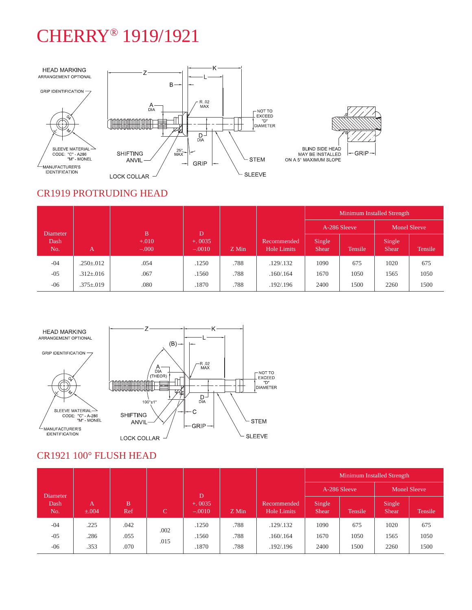### CHERRY® 1919/1921



#### CR1919 PROTRUDING HEAD

|             | A               | <sub>B</sub><br>$+.010$<br>$-.000$ | D<br>$+0.0035$<br>$-.0010$ | Z Min | Recommended<br>Hole Limits | Minimum Installed Strength |         |                        |         |
|-------------|-----------------|------------------------------------|----------------------------|-------|----------------------------|----------------------------|---------|------------------------|---------|
| Diameter    |                 |                                    |                            |       |                            | A-286 Sleeve               |         | Monel Sleeve           |         |
| Dash<br>No. |                 |                                    |                            |       |                            | Single<br>Shear.           | Tensile | Single<br><b>Shear</b> | Tensile |
| $-04$       | $.250 \pm .012$ | .054                               | .1250                      | .788  | .129/.132                  | 1090                       | 675     | 1020                   | 675     |
| $-05$       | $.312 \pm .016$ | .067                               | .1560                      | .788  | .160/.164                  | 1670                       | 1050    | 1565                   | 1050    |
| $-06$       | $.375 \pm .019$ | .080                               | .1870                      | .788  | .192/.196                  | 2400                       | 1500    | 2260                   | 1500    |



### CR1921 100° FLUSH HEAD

|             | $\overline{A}$<br>$\pm .004$ | <sub>B</sub><br>Ref | C            | D<br>$+0.0035$<br>$-.0010$ | Z Min | Recommended<br>Hole Limits | Minimum Installed Strength |         |                        |         |
|-------------|------------------------------|---------------------|--------------|----------------------------|-------|----------------------------|----------------------------|---------|------------------------|---------|
| Diameter    |                              |                     |              |                            |       |                            | A-286 Sleeve               |         | <b>Monel Sleeve</b>    |         |
| Dash<br>No. |                              |                     |              |                            |       |                            | Single<br><b>Shear</b>     | Tensile | Single<br><b>Shear</b> | Tensile |
| $-04$       | .225                         | .042                | .002<br>.015 | .1250                      | .788  | .129/.132                  | 1090                       | 675     | 1020                   | 675     |
| $-05$       | .286                         | .055                |              | .1560                      | .788  | .160/.164                  | 1670                       | 1050    | 1565                   | 1050    |
| $-06$       | .353                         | .070                |              | .1870                      | .788  | .192/.196                  | 2400                       | 1500    | 2260                   | 1500    |